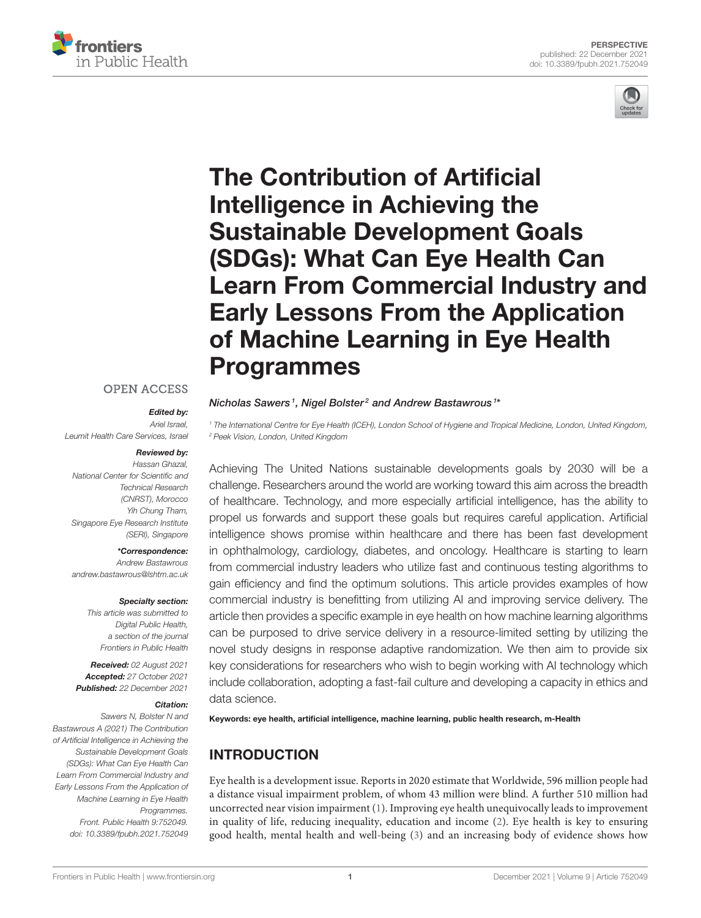

# The Contribution of Artificial Intelligence in Achieving the Sustainable Development Goals (SDGs): What Can Eye Health Can [Learn From Commercial Industry and](https://www.frontiersin.org/articles/10.3389/fpubh.2021.752049/full) Early Lessons From the Application of Machine Learning in Eye Health Programmes

#### **OPEN ACCESS**

#### Edited by:

*Ariel Israel, Leumit Health Care Services, Israel*

rontiers

n Public Health

#### Reviewed by:

*Hassan Ghazal, National Center for Scientific and Technical Research (CNRST), Morocco Yih Chung Tham, Singapore Eye Research Institute (SERI), Singapore*

\*Correspondence: *Andrew Bastawrous [andrew.bastawrous@lshtm.ac.uk](mailto:andrew.bastawrous@lshtm.ac.uk)*

#### Specialty section:

*This article was submitted to Digital Public Health, a section of the journal Frontiers in Public Health*

Received: *02 August 2021* Accepted: *27 October 2021* Published: *22 December 2021*

#### Citation:

*Sawers N, Bolster N and Bastawrous A (2021) The Contribution of Artificial Intelligence in Achieving the Sustainable Development Goals (SDGs): What Can Eye Health Can Learn From Commercial Industry and Early Lessons From the Application of Machine Learning in Eye Health Programmes. Front. Public Health 9:752049. doi: [10.3389/fpubh.2021.752049](https://doi.org/10.3389/fpubh.2021.752049)*

#### Nicholas Sawers<sup>1</sup>, Nigel Bolster<sup>2</sup> and Andrew Bastawrous<sup>1\*</sup>

*<sup>1</sup> The International Centre for Eye Health (ICEH), London School of Hygiene and Tropical Medicine, London, United Kingdom, <sup>2</sup> Peek Vision, London, United Kingdom*

Achieving The United Nations sustainable developments goals by 2030 will be a challenge. Researchers around the world are working toward this aim across the breadth of healthcare. Technology, and more especially artificial intelligence, has the ability to propel us forwards and support these goals but requires careful application. Artificial intelligence shows promise within healthcare and there has been fast development in ophthalmology, cardiology, diabetes, and oncology. Healthcare is starting to learn from commercial industry leaders who utilize fast and continuous testing algorithms to gain efficiency and find the optimum solutions. This article provides examples of how commercial industry is benefitting from utilizing AI and improving service delivery. The article then provides a specific example in eye health on how machine learning algorithms can be purposed to drive service delivery in a resource-limited setting by utilizing the novel study designs in response adaptive randomization. We then aim to provide six key considerations for researchers who wish to begin working with AI technology which include collaboration, adopting a fast-fail culture and developing a capacity in ethics and data science.

Keywords: eye health, artificial intelligence, machine learning, public health research, m-Health

# INTRODUCTION

Eye health is a development issue. Reports in 2020 estimate that Worldwide, 596 million people had a distance visual impairment problem, of whom 43 million were blind. A further 510 million had uncorrected near vision impairment [\(1\)](#page-4-0). Improving eye health unequivocally leads to improvement in quality of life, reducing inequality, education and income [\(2\)](#page-4-1). Eye health is key to ensuring good health, mental health and well-being [\(3\)](#page-4-2) and an increasing body of evidence shows how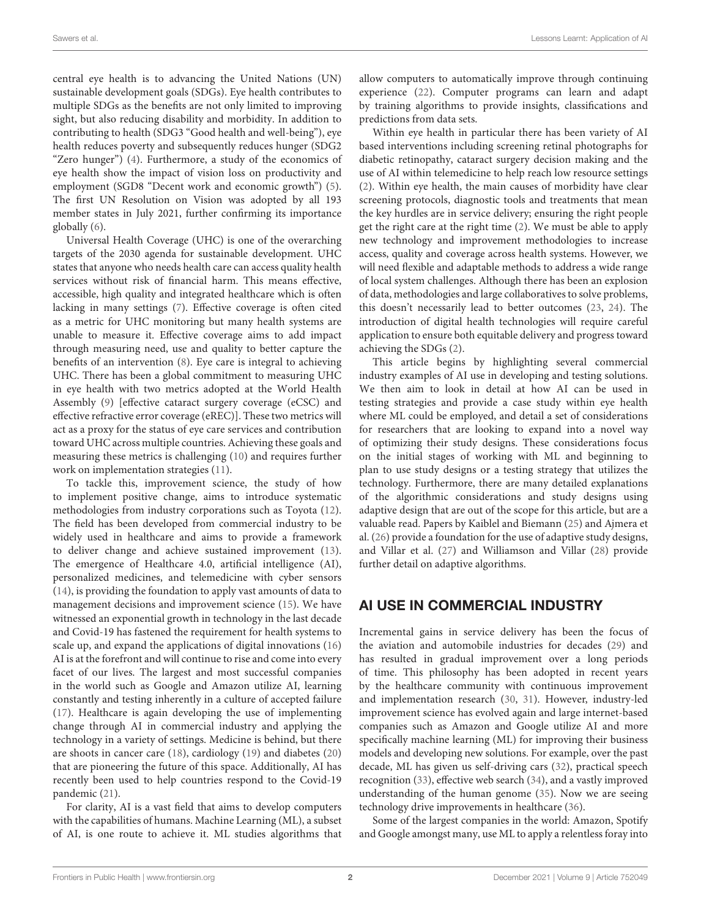central eye health is to advancing the United Nations (UN) sustainable development goals (SDGs). Eye health contributes to multiple SDGs as the benefits are not only limited to improving sight, but also reducing disability and morbidity. In addition to contributing to health (SDG3 "Good health and well-being"), eye health reduces poverty and subsequently reduces hunger (SDG2 "Zero hunger") [\(4\)](#page-5-0). Furthermore, a study of the economics of eye health show the impact of vision loss on productivity and employment (SGD8 "Decent work and economic growth") [\(5\)](#page-5-1). The first UN Resolution on Vision was adopted by all 193 member states in July 2021, further confirming its importance globally [\(6\)](#page-5-2).

Universal Health Coverage (UHC) is one of the overarching targets of the 2030 agenda for sustainable development. UHC states that anyone who needs health care can access quality health services without risk of financial harm. This means effective, accessible, high quality and integrated healthcare which is often lacking in many settings [\(7\)](#page-5-3). Effective coverage is often cited as a metric for UHC monitoring but many health systems are unable to measure it. Effective coverage aims to add impact through measuring need, use and quality to better capture the benefits of an intervention [\(8\)](#page-5-4). Eye care is integral to achieving UHC. There has been a global commitment to measuring UHC in eye health with two metrics adopted at the World Health Assembly [\(9\)](#page-5-5) [effective cataract surgery coverage (eCSC) and effective refractive error coverage (eREC)]. These two metrics will act as a proxy for the status of eye care services and contribution toward UHC across multiple countries. Achieving these goals and measuring these metrics is challenging [\(10\)](#page-5-6) and requires further work on implementation strategies [\(11\)](#page-5-7).

To tackle this, improvement science, the study of how to implement positive change, aims to introduce systematic methodologies from industry corporations such as Toyota [\(12\)](#page-5-8). The field has been developed from commercial industry to be widely used in healthcare and aims to provide a framework to deliver change and achieve sustained improvement [\(13\)](#page-5-9). The emergence of Healthcare 4.0, artificial intelligence (AI), personalized medicines, and telemedicine with cyber sensors [\(14\)](#page-5-10), is providing the foundation to apply vast amounts of data to management decisions and improvement science [\(15\)](#page-5-11). We have witnessed an exponential growth in technology in the last decade and Covid-19 has fastened the requirement for health systems to scale up, and expand the applications of digital innovations [\(16\)](#page-5-12) AI is at the forefront and will continue to rise and come into every facet of our lives. The largest and most successful companies in the world such as Google and Amazon utilize AI, learning constantly and testing inherently in a culture of accepted failure [\(17\)](#page-5-13). Healthcare is again developing the use of implementing change through AI in commercial industry and applying the technology in a variety of settings. Medicine is behind, but there are shoots in cancer care [\(18\)](#page-5-14), cardiology [\(19\)](#page-5-15) and diabetes [\(20\)](#page-5-16) that are pioneering the future of this space. Additionally, AI has recently been used to help countries respond to the Covid-19 pandemic [\(21\)](#page-5-17).

For clarity, AI is a vast field that aims to develop computers with the capabilities of humans. Machine Learning (ML), a subset of AI, is one route to achieve it. ML studies algorithms that allow computers to automatically improve through continuing experience [\(22\)](#page-5-18). Computer programs can learn and adapt by training algorithms to provide insights, classifications and predictions from data sets.

Within eye health in particular there has been variety of AI based interventions including screening retinal photographs for diabetic retinopathy, cataract surgery decision making and the use of AI within telemedicine to help reach low resource settings [\(2\)](#page-4-1). Within eye health, the main causes of morbidity have clear screening protocols, diagnostic tools and treatments that mean the key hurdles are in service delivery; ensuring the right people get the right care at the right time [\(2\)](#page-4-1). We must be able to apply new technology and improvement methodologies to increase access, quality and coverage across health systems. However, we will need flexible and adaptable methods to address a wide range of local system challenges. Although there has been an explosion of data, methodologies and large collaboratives to solve problems, this doesn't necessarily lead to better outcomes [\(23,](#page-5-19) [24\)](#page-5-20). The introduction of digital health technologies will require careful application to ensure both equitable delivery and progress toward achieving the SDGs [\(2\)](#page-4-1).

This article begins by highlighting several commercial industry examples of AI use in developing and testing solutions. We then aim to look in detail at how AI can be used in testing strategies and provide a case study within eye health where ML could be employed, and detail a set of considerations for researchers that are looking to expand into a novel way of optimizing their study designs. These considerations focus on the initial stages of working with ML and beginning to plan to use study designs or a testing strategy that utilizes the technology. Furthermore, there are many detailed explanations of the algorithmic considerations and study designs using adaptive design that are out of the scope for this article, but are a valuable read. Papers by Kaiblel and Biemann [\(25\)](#page-5-21) and Ajmera et al. [\(26\)](#page-5-22) provide a foundation for the use of adaptive study designs, and Villar et al. [\(27\)](#page-5-23) and Williamson and Villar [\(28\)](#page-5-24) provide further detail on adaptive algorithms.

#### AI USE IN COMMERCIAL INDUSTRY

Incremental gains in service delivery has been the focus of the aviation and automobile industries for decades [\(29\)](#page-5-25) and has resulted in gradual improvement over a long periods of time. This philosophy has been adopted in recent years by the healthcare community with continuous improvement and implementation research [\(30,](#page-5-26) [31\)](#page-5-27). However, industry-led improvement science has evolved again and large internet-based companies such as Amazon and Google utilize AI and more specifically machine learning (ML) for improving their business models and developing new solutions. For example, over the past decade, ML has given us self-driving cars [\(32\)](#page-5-28), practical speech recognition [\(33\)](#page-5-29), effective web search [\(34\)](#page-5-30), and a vastly improved understanding of the human genome [\(35\)](#page-5-31). Now we are seeing technology drive improvements in healthcare [\(36\)](#page-5-32).

Some of the largest companies in the world: Amazon, Spotify and Google amongst many, use ML to apply a relentless foray into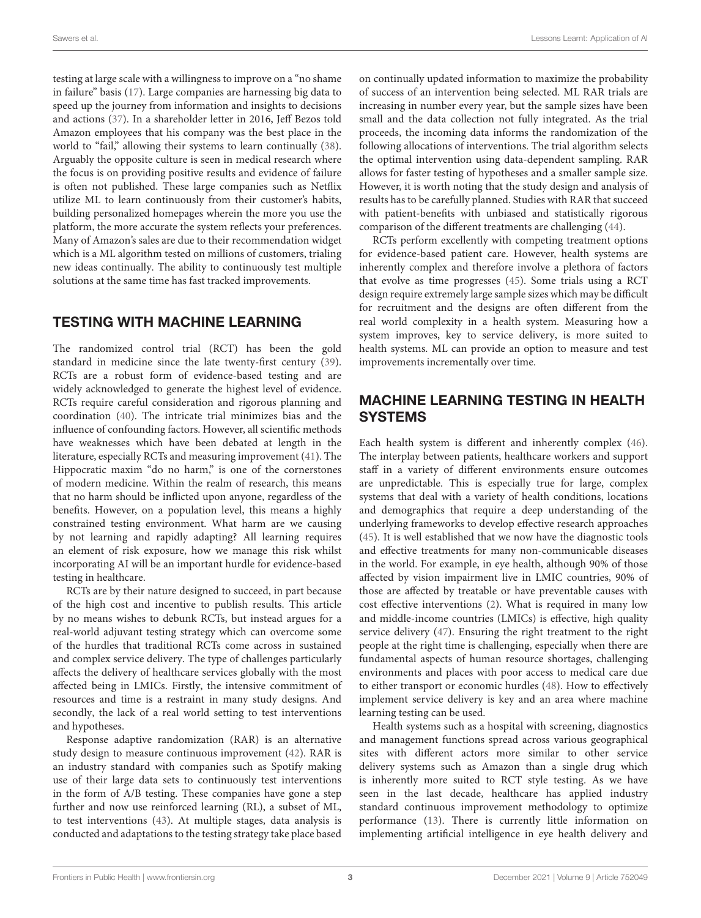testing at large scale with a willingness to improve on a "no shame in failure" basis [\(17\)](#page-5-13). Large companies are harnessing big data to speed up the journey from information and insights to decisions and actions [\(37\)](#page-5-33). In a shareholder letter in 2016, Jeff Bezos told Amazon employees that his company was the best place in the world to "fail," allowing their systems to learn continually [\(38\)](#page-5-34). Arguably the opposite culture is seen in medical research where the focus is on providing positive results and evidence of failure is often not published. These large companies such as Netflix utilize ML to learn continuously from their customer's habits, building personalized homepages wherein the more you use the platform, the more accurate the system reflects your preferences. Many of Amazon's sales are due to their recommendation widget which is a ML algorithm tested on millions of customers, trialing new ideas continually. The ability to continuously test multiple solutions at the same time has fast tracked improvements.

## TESTING WITH MACHINE LEARNING

The randomized control trial (RCT) has been the gold standard in medicine since the late twenty-first century [\(39\)](#page-5-35). RCTs are a robust form of evidence-based testing and are widely acknowledged to generate the highest level of evidence. RCTs require careful consideration and rigorous planning and coordination [\(40\)](#page-5-36). The intricate trial minimizes bias and the influence of confounding factors. However, all scientific methods have weaknesses which have been debated at length in the literature, especially RCTs and measuring improvement [\(41\)](#page-5-37). The Hippocratic maxim "do no harm," is one of the cornerstones of modern medicine. Within the realm of research, this means that no harm should be inflicted upon anyone, regardless of the benefits. However, on a population level, this means a highly constrained testing environment. What harm are we causing by not learning and rapidly adapting? All learning requires an element of risk exposure, how we manage this risk whilst incorporating AI will be an important hurdle for evidence-based testing in healthcare.

RCTs are by their nature designed to succeed, in part because of the high cost and incentive to publish results. This article by no means wishes to debunk RCTs, but instead argues for a real-world adjuvant testing strategy which can overcome some of the hurdles that traditional RCTs come across in sustained and complex service delivery. The type of challenges particularly affects the delivery of healthcare services globally with the most affected being in LMICs. Firstly, the intensive commitment of resources and time is a restraint in many study designs. And secondly, the lack of a real world setting to test interventions and hypotheses.

Response adaptive randomization (RAR) is an alternative study design to measure continuous improvement [\(42\)](#page-5-38). RAR is an industry standard with companies such as Spotify making use of their large data sets to continuously test interventions in the form of A/B testing. These companies have gone a step further and now use reinforced learning (RL), a subset of ML, to test interventions [\(43\)](#page-5-39). At multiple stages, data analysis is conducted and adaptations to the testing strategy take place based on continually updated information to maximize the probability of success of an intervention being selected. ML RAR trials are increasing in number every year, but the sample sizes have been small and the data collection not fully integrated. As the trial proceeds, the incoming data informs the randomization of the following allocations of interventions. The trial algorithm selects the optimal intervention using data-dependent sampling. RAR allows for faster testing of hypotheses and a smaller sample size. However, it is worth noting that the study design and analysis of results has to be carefully planned. Studies with RAR that succeed with patient-benefits with unbiased and statistically rigorous comparison of the different treatments are challenging [\(44\)](#page-5-40).

RCTs perform excellently with competing treatment options for evidence-based patient care. However, health systems are inherently complex and therefore involve a plethora of factors that evolve as time progresses [\(45\)](#page-5-41). Some trials using a RCT design require extremely large sample sizes which may be difficult for recruitment and the designs are often different from the real world complexity in a health system. Measuring how a system improves, key to service delivery, is more suited to health systems. ML can provide an option to measure and test improvements incrementally over time.

## MACHINE LEARNING TESTING IN HEALTH SYSTEMS

Each health system is different and inherently complex [\(46\)](#page-6-0). The interplay between patients, healthcare workers and support staff in a variety of different environments ensure outcomes are unpredictable. This is especially true for large, complex systems that deal with a variety of health conditions, locations and demographics that require a deep understanding of the underlying frameworks to develop effective research approaches [\(45\)](#page-5-41). It is well established that we now have the diagnostic tools and effective treatments for many non-communicable diseases in the world. For example, in eye health, although 90% of those affected by vision impairment live in LMIC countries, 90% of those are affected by treatable or have preventable causes with cost effective interventions [\(2\)](#page-4-1). What is required in many low and middle-income countries (LMICs) is effective, high quality service delivery [\(47\)](#page-6-1). Ensuring the right treatment to the right people at the right time is challenging, especially when there are fundamental aspects of human resource shortages, challenging environments and places with poor access to medical care due to either transport or economic hurdles [\(48\)](#page-6-2). How to effectively implement service delivery is key and an area where machine learning testing can be used.

Health systems such as a hospital with screening, diagnostics and management functions spread across various geographical sites with different actors more similar to other service delivery systems such as Amazon than a single drug which is inherently more suited to RCT style testing. As we have seen in the last decade, healthcare has applied industry standard continuous improvement methodology to optimize performance [\(13\)](#page-5-9). There is currently little information on implementing artificial intelligence in eye health delivery and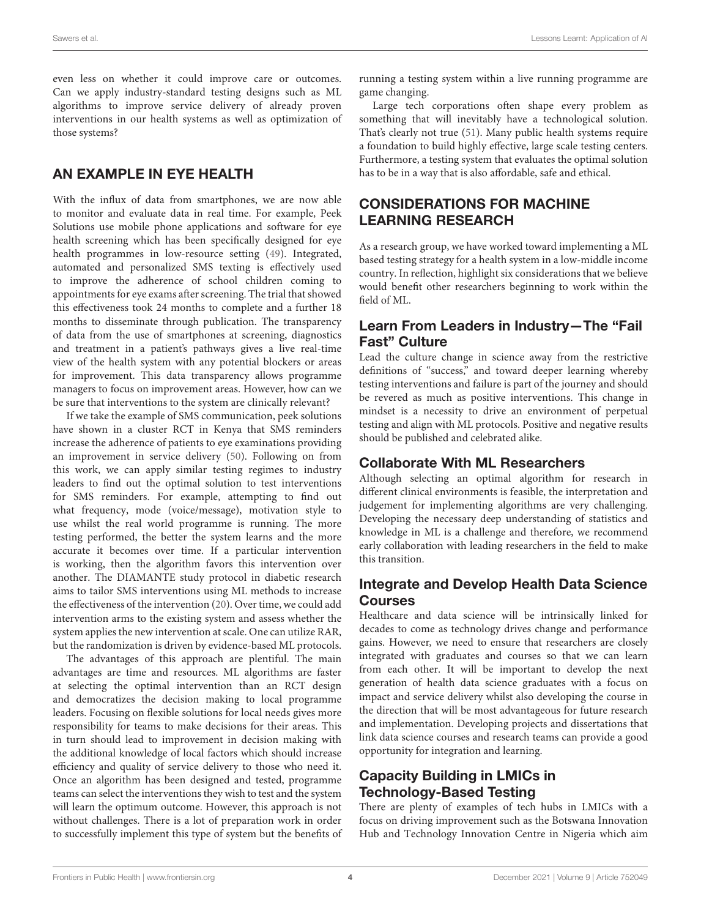even less on whether it could improve care or outcomes. Can we apply industry-standard testing designs such as ML algorithms to improve service delivery of already proven interventions in our health systems as well as optimization of those systems?

## AN EXAMPLE IN EYE HEALTH

With the influx of data from smartphones, we are now able to monitor and evaluate data in real time. For example, Peek Solutions use mobile phone applications and software for eye health screening which has been specifically designed for eye health programmes in low-resource setting [\(49\)](#page-6-3). Integrated, automated and personalized SMS texting is effectively used to improve the adherence of school children coming to appointments for eye exams after screening. The trial that showed this effectiveness took 24 months to complete and a further 18 months to disseminate through publication. The transparency of data from the use of smartphones at screening, diagnostics and treatment in a patient's pathways gives a live real-time view of the health system with any potential blockers or areas for improvement. This data transparency allows programme managers to focus on improvement areas. However, how can we be sure that interventions to the system are clinically relevant?

If we take the example of SMS communication, peek solutions have shown in a cluster RCT in Kenya that SMS reminders increase the adherence of patients to eye examinations providing an improvement in service delivery [\(50\)](#page-6-4). Following on from this work, we can apply similar testing regimes to industry leaders to find out the optimal solution to test interventions for SMS reminders. For example, attempting to find out what frequency, mode (voice/message), motivation style to use whilst the real world programme is running. The more testing performed, the better the system learns and the more accurate it becomes over time. If a particular intervention is working, then the algorithm favors this intervention over another. The DIAMANTE study protocol in diabetic research aims to tailor SMS interventions using ML methods to increase the effectiveness of the intervention [\(20\)](#page-5-16). Over time, we could add intervention arms to the existing system and assess whether the system applies the new intervention at scale. One can utilize RAR, but the randomization is driven by evidence-based ML protocols.

The advantages of this approach are plentiful. The main advantages are time and resources. ML algorithms are faster at selecting the optimal intervention than an RCT design and democratizes the decision making to local programme leaders. Focusing on flexible solutions for local needs gives more responsibility for teams to make decisions for their areas. This in turn should lead to improvement in decision making with the additional knowledge of local factors which should increase efficiency and quality of service delivery to those who need it. Once an algorithm has been designed and tested, programme teams can select the interventions they wish to test and the system will learn the optimum outcome. However, this approach is not without challenges. There is a lot of preparation work in order to successfully implement this type of system but the benefits of running a testing system within a live running programme are game changing.

Large tech corporations often shape every problem as something that will inevitably have a technological solution. That's clearly not true [\(51\)](#page-6-5). Many public health systems require a foundation to build highly effective, large scale testing centers. Furthermore, a testing system that evaluates the optimal solution has to be in a way that is also affordable, safe and ethical.

## CONSIDERATIONS FOR MACHINE LEARNING RESEARCH

As a research group, we have worked toward implementing a ML based testing strategy for a health system in a low-middle income country. In reflection, highlight six considerations that we believe would benefit other researchers beginning to work within the field of ML.

#### Learn From Leaders in Industry—The "Fail Fast" Culture

Lead the culture change in science away from the restrictive definitions of "success," and toward deeper learning whereby testing interventions and failure is part of the journey and should be revered as much as positive interventions. This change in mindset is a necessity to drive an environment of perpetual testing and align with ML protocols. Positive and negative results should be published and celebrated alike.

#### Collaborate With ML Researchers

Although selecting an optimal algorithm for research in different clinical environments is feasible, the interpretation and judgement for implementing algorithms are very challenging. Developing the necessary deep understanding of statistics and knowledge in ML is a challenge and therefore, we recommend early collaboration with leading researchers in the field to make this transition.

## Integrate and Develop Health Data Science Courses

Healthcare and data science will be intrinsically linked for decades to come as technology drives change and performance gains. However, we need to ensure that researchers are closely integrated with graduates and courses so that we can learn from each other. It will be important to develop the next generation of health data science graduates with a focus on impact and service delivery whilst also developing the course in the direction that will be most advantageous for future research and implementation. Developing projects and dissertations that link data science courses and research teams can provide a good opportunity for integration and learning.

## Capacity Building in LMICs in Technology-Based Testing

There are plenty of examples of tech hubs in LMICs with a focus on driving improvement such as the Botswana Innovation Hub and Technology Innovation Centre in Nigeria which aim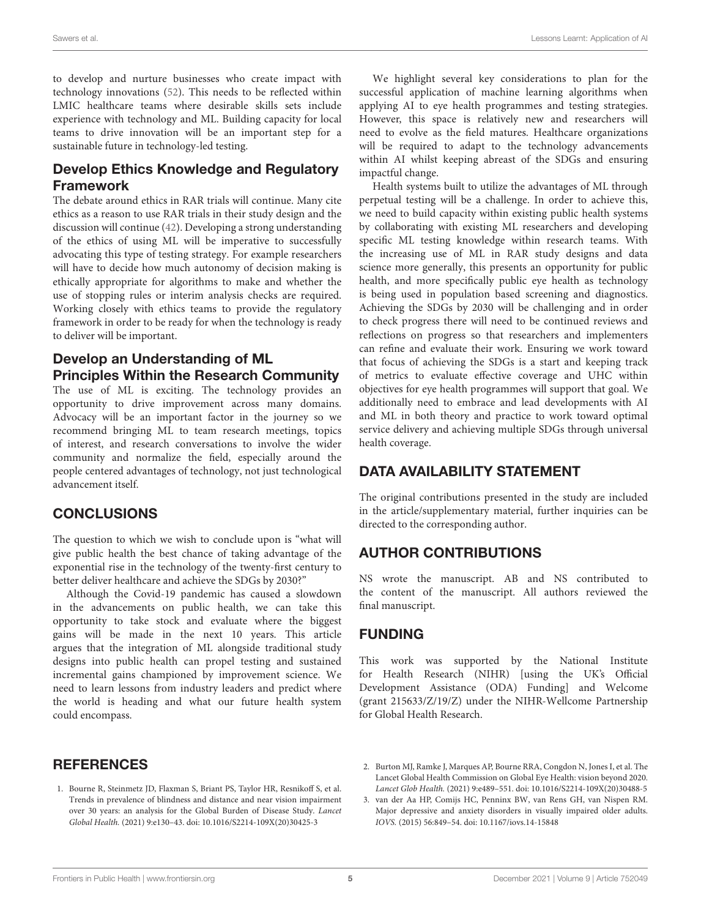to develop and nurture businesses who create impact with technology innovations [\(52\)](#page-6-6). This needs to be reflected within LMIC healthcare teams where desirable skills sets include experience with technology and ML. Building capacity for local teams to drive innovation will be an important step for a sustainable future in technology-led testing.

#### Develop Ethics Knowledge and Regulatory Framework

The debate around ethics in RAR trials will continue. Many cite ethics as a reason to use RAR trials in their study design and the discussion will continue [\(42\)](#page-5-38). Developing a strong understanding of the ethics of using ML will be imperative to successfully advocating this type of testing strategy. For example researchers will have to decide how much autonomy of decision making is ethically appropriate for algorithms to make and whether the use of stopping rules or interim analysis checks are required. Working closely with ethics teams to provide the regulatory framework in order to be ready for when the technology is ready to deliver will be important.

#### Develop an Understanding of ML Principles Within the Research Community

The use of ML is exciting. The technology provides an opportunity to drive improvement across many domains. Advocacy will be an important factor in the journey so we recommend bringing ML to team research meetings, topics of interest, and research conversations to involve the wider community and normalize the field, especially around the people centered advantages of technology, not just technological advancement itself.

#### **CONCLUSIONS**

The question to which we wish to conclude upon is "what will give public health the best chance of taking advantage of the exponential rise in the technology of the twenty-first century to better deliver healthcare and achieve the SDGs by 2030?"

Although the Covid-19 pandemic has caused a slowdown in the advancements on public health, we can take this opportunity to take stock and evaluate where the biggest gains will be made in the next 10 years. This article argues that the integration of ML alongside traditional study designs into public health can propel testing and sustained incremental gains championed by improvement science. We need to learn lessons from industry leaders and predict where the world is heading and what our future health system could encompass.

#### **REFERENCES**

<span id="page-4-0"></span>1. Bourne R, Steinmetz JD, Flaxman S, Briant PS, Taylor HR, Resnikoff S, et al. Trends in prevalence of blindness and distance and near vision impairment over 30 years: an analysis for the Global Burden of Disease Study. Lancet Global Health. (2021) 9:e130–43. doi: [10.1016/S2214-109X\(20\)30425-3](https://doi.org/10.1016/S2214-109X(20)30425-3)

We highlight several key considerations to plan for the successful application of machine learning algorithms when applying AI to eye health programmes and testing strategies. However, this space is relatively new and researchers will need to evolve as the field matures. Healthcare organizations will be required to adapt to the technology advancements within AI whilst keeping abreast of the SDGs and ensuring impactful change.

Health systems built to utilize the advantages of ML through perpetual testing will be a challenge. In order to achieve this, we need to build capacity within existing public health systems by collaborating with existing ML researchers and developing specific ML testing knowledge within research teams. With the increasing use of ML in RAR study designs and data science more generally, this presents an opportunity for public health, and more specifically public eye health as technology is being used in population based screening and diagnostics. Achieving the SDGs by 2030 will be challenging and in order to check progress there will need to be continued reviews and reflections on progress so that researchers and implementers can refine and evaluate their work. Ensuring we work toward that focus of achieving the SDGs is a start and keeping track of metrics to evaluate effective coverage and UHC within objectives for eye health programmes will support that goal. We additionally need to embrace and lead developments with AI and ML in both theory and practice to work toward optimal service delivery and achieving multiple SDGs through universal health coverage.

#### DATA AVAILABILITY STATEMENT

The original contributions presented in the study are included in the article/supplementary material, further inquiries can be directed to the corresponding author.

#### AUTHOR CONTRIBUTIONS

NS wrote the manuscript. AB and NS contributed to the content of the manuscript. All authors reviewed the final manuscript.

#### FUNDING

This work was supported by the National Institute for Health Research (NIHR) [using the UK's Official Development Assistance (ODA) Funding] and Welcome (grant 215633/Z/19/Z) under the NIHR-Wellcome Partnership for Global Health Research.

<span id="page-4-1"></span>2. Burton MJ, Ramke J, Marques AP, Bourne RRA, Congdon N, Jones I, et al. The Lancet Global Health Commission on Global Eye Health: vision beyond 2020. Lancet Glob Health. (2021) 9:e489–551. doi: [10.1016/S2214-109X\(20\)30488-5](https://doi.org/10.1016/S2214-109X(20)30488-5)

<span id="page-4-2"></span>3. van der Aa HP, Comijs HC, Penninx BW, van Rens GH, van Nispen RM. Major depressive and anxiety disorders in visually impaired older adults. IOVS. (2015) 56:849–54. doi: [10.1167/iovs.14-15848](https://doi.org/10.1167/iovs.14-15848)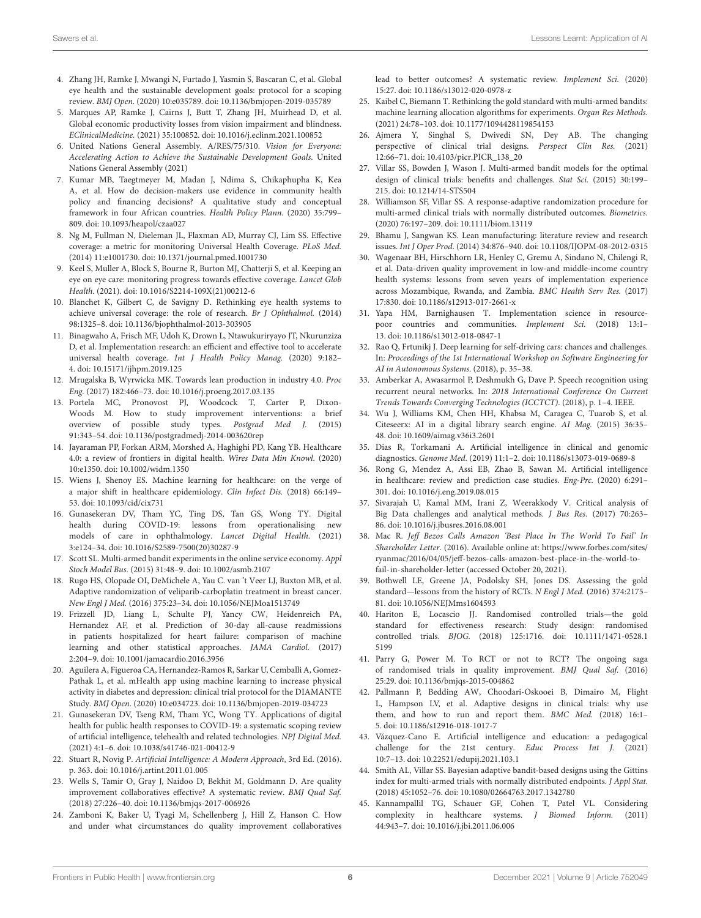- <span id="page-5-0"></span>4. Zhang JH, Ramke J, Mwangi N, Furtado J, Yasmin S, Bascaran C, et al. Global eye health and the sustainable development goals: protocol for a scoping review. BMJ Open. (2020) 10:e035789. doi: [10.1136/bmjopen-2019-035789](https://doi.org/10.1136/bmjopen-2019-035789)
- <span id="page-5-1"></span>5. Marques AP, Ramke J, Cairns J, Butt T, Zhang JH, Muirhead D, et al. Global economic productivity losses from vision impairment and blindness. EClinicalMedicine. (2021) 35:100852. doi: [10.1016/j.eclinm.2021.100852](https://doi.org/10.1016/j.eclinm.2021.100852)
- <span id="page-5-2"></span>6. United Nations General Assembly. A/RES/75/310. Vision for Everyone: Accelerating Action to Achieve the Sustainable Development Goals. United Nations General Assembly (2021)
- <span id="page-5-3"></span>7. Kumar MB, Taegtmeyer M, Madan J, Ndima S, Chikaphupha K, Kea A, et al. How do decision-makers use evidence in community health policy and financing decisions? A qualitative study and conceptual framework in four African countries. Health Policy Plann. (2020) 35:799– 809. doi: [10.1093/heapol/czaa027](https://doi.org/10.1093/heapol/czaa027)
- <span id="page-5-4"></span>8. Ng M, Fullman N, Dieleman JL, Flaxman AD, Murray CJ, Lim SS. Effective coverage: a metric for monitoring Universal Health Coverage. PLoS Med. (2014) 11:e1001730. doi: [10.1371/journal.pmed.1001730](https://doi.org/10.1371/journal.pmed.1001730)
- <span id="page-5-5"></span>9. Keel S, Muller A, Block S, Bourne R, Burton MJ, Chatterji S, et al. Keeping an eye on eye care: monitoring progress towards effective coverage. Lancet Glob Health. (2021). doi: [10.1016/S2214-109X\(21\)00212-6](https://doi.org/10.1016/S2214-109X(21)00212-6)
- <span id="page-5-6"></span>10. Blanchet K, Gilbert C, de Savigny D. Rethinking eye health systems to achieve universal coverage: the role of research. Br J Ophthalmol. (2014) 98:1325–8. doi: [10.1136/bjophthalmol-2013-303905](https://doi.org/10.1136/bjophthalmol-2013-303905)
- <span id="page-5-7"></span>11. Binagwaho A, Frisch MF, Udoh K, Drown L, Ntawukuriryayo JT, Nkurunziza D, et al. Implementation research: an efficient and effective tool to accelerate universal health coverage. Int J Health Policy Manag. (2020) 9:182– 4. doi: [10.15171/ijhpm.2019.125](https://doi.org/10.15171/ijhpm.2019.125)
- <span id="page-5-8"></span>12. Mrugalska B, Wyrwicka MK. Towards lean production in industry 4.0. Proc Eng. (2017) 182:466–73. doi: [10.1016/j.proeng.2017.03.135](https://doi.org/10.1016/j.proeng.2017.03.135)
- <span id="page-5-9"></span>13. Portela MC, Pronovost PJ, Woodcock T, Carter P, Dixon-Woods M. How to study improvement interventions: a brief overview of possible study types. Postgrad Med J. (2015) 91:343–54. doi: [10.1136/postgradmedj-2014-003620rep](https://doi.org/10.1136/postgradmedj-2014-003620rep)
- <span id="page-5-10"></span>14. Jayaraman PP, Forkan ARM, Morshed A, Haghighi PD, Kang YB. Healthcare 4.0: a review of frontiers in digital health. Wires Data Min Knowl. (2020) 10:e1350. doi: [10.1002/widm.1350](https://doi.org/10.1002/widm.1350)
- <span id="page-5-11"></span>15. Wiens J, Shenoy ES. Machine learning for healthcare: on the verge of a major shift in healthcare epidemiology. Clin Infect Dis. (2018) 66:149– 53. doi: [10.1093/cid/cix731](https://doi.org/10.1093/cid/cix731)
- <span id="page-5-12"></span>16. Gunasekeran DV, Tham YC, Ting DS, Tan GS, Wong TY. Digital health during COVID-19: lessons from operationalising new models of care in ophthalmology. Lancet Digital Health. (2021) 3:e124–34. doi: [10.1016/S2589-7500\(20\)30287-9](https://doi.org/10.1016/S2589-7500(20)30287-9)
- <span id="page-5-13"></span>17. Scott SL. Multi-armed bandit experiments in the online service economy. Appl Stoch Model Bus. (2015) 31:48–9. doi: [10.1002/asmb.2107](https://doi.org/10.1002/asmb.2107)
- <span id="page-5-14"></span>18. Rugo HS, Olopade OI, DeMichele A, Yau C. van 't Veer LJ, Buxton MB, et al. Adaptive randomization of veliparib-carboplatin treatment in breast cancer. New Engl J Med. (2016) 375:23–34. doi: [10.1056/NEJMoa1513749](https://doi.org/10.1056/NEJMoa1513749)
- <span id="page-5-15"></span>19. Frizzell JD, Liang L, Schulte PJ, Yancy CW, Heidenreich PA, Hernandez AF, et al. Prediction of 30-day all-cause readmissions in patients hospitalized for heart failure: comparison of machine learning and other statistical approaches. JAMA Cardiol. (2017) 2:204–9. doi: [10.1001/jamacardio.2016.3956](https://doi.org/10.1001/jamacardio.2016.3956)
- <span id="page-5-16"></span>20. Aguilera A, Figueroa CA, Hernandez-Ramos R, Sarkar U, Cemballi A, Gomez-Pathak L, et al. mHealth app using machine learning to increase physical activity in diabetes and depression: clinical trial protocol for the DIAMANTE Study. BMJ Open. (2020) 10:e034723. doi: [10.1136/bmjopen-2019-034723](https://doi.org/10.1136/bmjopen-2019-034723)
- <span id="page-5-17"></span>21. Gunasekeran DV, Tseng RM, Tham YC, Wong TY. Applications of digital health for public health responses to COVID-19: a systematic scoping review of artificial intelligence, telehealth and related technologies. NPJ Digital Med. (2021) 4:1–6. doi: [10.1038/s41746-021-00412-9](https://doi.org/10.1038/s41746-021-00412-9)
- <span id="page-5-18"></span>22. Stuart R, Novig P. Artificial Intelligence: A Modern Approach, 3rd Ed. (2016). p. 363. doi: [10.1016/j.artint.2011.01.005](https://doi.org/10.1016/j.artint.2011.01.005)
- <span id="page-5-19"></span>23. Wells S, Tamir O, Gray J, Naidoo D, Bekhit M, Goldmann D. Are quality improvement collaboratives effective? A systematic review. BMJ Qual Saf. (2018) 27:226–40. doi: [10.1136/bmjqs-2017-006926](https://doi.org/10.1136/bmjqs-2017-006926)
- <span id="page-5-20"></span>24. Zamboni K, Baker U, Tyagi M, Schellenberg J, Hill Z, Hanson C. How and under what circumstances do quality improvement collaboratives

lead to better outcomes? A systematic review. Implement Sci. (2020) 15:27. doi: [10.1186/s13012-020-0978-z](https://doi.org/10.1186/s13012-020-0978-z)

- <span id="page-5-21"></span>25. Kaibel C, Biemann T. Rethinking the gold standard with multi-armed bandits: machine learning allocation algorithms for experiments. Organ Res Methods. (2021) 24:78–103. doi: [10.1177/1094428119854153](https://doi.org/10.1177/1094428119854153)
- <span id="page-5-22"></span>26. Ajmera Y, Singhal S, Dwivedi SN, Dey AB. The changing perspective of clinical trial designs. Perspect Clin Res. (2021) 12:66–71. doi: [10.4103/picr.PICR\\_138\\_20](https://doi.org/10.4103/picr.PICR_138_20)
- <span id="page-5-23"></span>27. Villar SS, Bowden J, Wason J. Multi-armed bandit models for the optimal design of clinical trials: benefits and challenges. Stat Sci. (2015) 30:199– 215. doi: [10.1214/14-STS504](https://doi.org/10.1214/14-STS504)
- <span id="page-5-24"></span>28. Williamson SF, Villar SS. A response-adaptive randomization procedure for multi-armed clinical trials with normally distributed outcomes. Biometrics. (2020) 76:197–209. doi: [10.1111/biom.13119](https://doi.org/10.1111/biom.13119)
- <span id="page-5-25"></span>29. Bhamu J, Sangwan KS. Lean manufacturing: literature review and research issues. Int J Oper Prod. (2014) 34:876–940. doi: [10.1108/IJOPM-08-2012-0315](https://doi.org/10.1108/IJOPM-08-2012-0315)
- <span id="page-5-26"></span>30. Wagenaar BH, Hirschhorn LR, Henley C, Gremu A, Sindano N, Chilengi R, et al. Data-driven quality improvement in low-and middle-income country health systems: lessons from seven years of implementation experience across Mozambique, Rwanda, and Zambia. BMC Health Serv Res. (2017) 17:830. doi: [10.1186/s12913-017-2661-x](https://doi.org/10.1186/s12913-017-2661-x)
- <span id="page-5-27"></span>31. Yapa HM, Barnighausen T. Implementation science in resourcepoor countries and communities. Implement Sci. (2018) 13:1– 13. doi: [10.1186/s13012-018-0847-1](https://doi.org/10.1186/s13012-018-0847-1)
- <span id="page-5-28"></span>32. Rao Q, Frtunikj J. Deep learning for self-driving cars: chances and challenges. In: Proceedings of the 1st International Workshop on Software Engineering for AI in Autonomous Systems. (2018), p. 35–38.
- <span id="page-5-29"></span>33. Amberkar A, Awasarmol P, Deshmukh G, Dave P. Speech recognition using recurrent neural networks. In: 2018 International Conference On Current Trends Towards Converging Technologies (ICCTCT). (2018), p. 1–4. IEEE.
- <span id="page-5-30"></span>34. Wu J, Williams KM, Chen HH, Khabsa M, Caragea C, Tuarob S, et al. Citeseerx: AI in a digital library search engine. AI Mag. (2015) 36:35– 48. doi: [10.1609/aimag.v36i3.2601](https://doi.org/10.1609/aimag.v36i3.2601)
- <span id="page-5-31"></span>35. Dias R, Torkamani A. Artificial intelligence in clinical and genomic diagnostics. Genome Med. (2019) 11:1–2. doi: [10.1186/s13073-019-0689-8](https://doi.org/10.1186/s13073-019-0689-8)
- <span id="page-5-32"></span>36. Rong G, Mendez A, Assi EB, Zhao B, Sawan M. Artificial intelligence in healthcare: review and prediction case studies. Eng-Prc. (2020) 6:291– 301. doi: [10.1016/j.eng.2019.08.015](https://doi.org/10.1016/j.eng.2019.08.015)
- <span id="page-5-33"></span>37. Sivarajah U, Kamal MM, Irani Z, Weerakkody V. Critical analysis of Big Data challenges and analytical methods. J Bus Res. (2017) 70:263– 86. doi: [10.1016/j.jbusres.2016.08.001](https://doi.org/10.1016/j.jbusres.2016.08.001)
- <span id="page-5-34"></span>38. Mac R. Jeff Bezos Calls Amazon 'Best Place In The World To Fail' In Shareholder Letter. (2016). Available online at: [https://www.forbes.com/sites/](https://www.forbes.com/sites/ryanmac/2016/04/05/jeff-bezos-calls-amazon-best-place-in-the-world-to-fail-in-shareholder-letter) [ryanmac/2016/04/05/jeff-bezos-calls-amazon-best-place-in-the-world-to](https://www.forbes.com/sites/ryanmac/2016/04/05/jeff-bezos-calls-amazon-best-place-in-the-world-to-fail-in-shareholder-letter)[fail-in-shareholder-letter](https://www.forbes.com/sites/ryanmac/2016/04/05/jeff-bezos-calls-amazon-best-place-in-the-world-to-fail-in-shareholder-letter) (accessed October 20, 2021).
- <span id="page-5-35"></span>39. Bothwell LE, Greene JA, Podolsky SH, Jones DS. Assessing the gold standard—lessons from the history of RCTs. N Engl J Med. (2016) 374:2175– 81. doi: [10.1056/NEJMms1604593](https://doi.org/10.1056/NEJMms1604593)
- <span id="page-5-36"></span>40. Hariton E, Locascio JJ. Randomised controlled trials—the gold standard for effectiveness research: Study design: randomised controlled trials. BJOG. [\(2018\) 125:1716. doi: 10.1111/1471-0528.1](https://doi.org/10.1111/1471-0528.15199) 5199
- <span id="page-5-37"></span>41. Parry G, Power M. To RCT or not to RCT? The ongoing saga of randomised trials in quality improvement. BMJ Qual Saf. (2016) 25:29. doi: [10.1136/bmjqs-2015-004862](https://doi.org/10.1136/bmjqs-2015-004862)
- <span id="page-5-38"></span>42. Pallmann P, Bedding AW, Choodari-Oskooei B, Dimairo M, Flight L, Hampson LV, et al. Adaptive designs in clinical trials: why use them, and how to run and report them. BMC Med. (2018) 16:1– 5. doi: [10.1186/s12916-018-1017-7](https://doi.org/10.1186/s12916-018-1017-7)
- <span id="page-5-39"></span>43. Vázquez-Cano E. Artificial intelligence and education: a pedagogical challenge for the 21st century. Educ Process Int J. (2021) 10:7–13. doi: [10.22521/edupij.2021.103.1](https://doi.org/10.22521/edupij.2021.103.1)
- <span id="page-5-40"></span>44. Smith AL, Villar SS. Bayesian adaptive bandit-based designs using the Gittins index for multi-armed trials with normally distributed endpoints. J Appl Stat. (2018) 45:1052–76. doi: [10.1080/02664763.2017.1342780](https://doi.org/10.1080/02664763.2017.1342780)
- <span id="page-5-41"></span>45. Kannampallil TG, Schauer GF, Cohen T, Patel VL. Considering complexity in healthcare systems. J Biomed Inform. (2011) 44:943–7. doi: [10.1016/j.jbi.2011.06.006](https://doi.org/10.1016/j.jbi.2011.06.006)